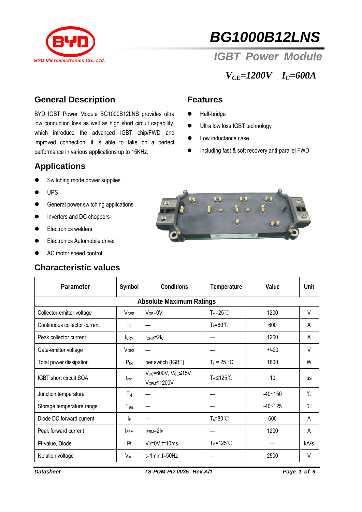

# *BG1000B12LNS*

 *IGBT Power Module* 

*VCE=1200V IC=600A* 

### **General Description**

BYD IGBT Power Module BG1000B12LNS provides ultra low conduction loss as well as high short circuit capability, which introduce the advanced IGBT chip/FWD and improved connection, it is able to take on a perfect performance in various applications up to 15KHz.

# **Applications**

- Switching mode power supplies
- **UPS**
- **•** General power switching applications
- Inverters and DC choppers
- **•** Electronics welders
- Electronics Automobile driver
- AC motor speed control

#### **Characteristic values**

#### **Features**

- Half-bridge
- Ultra low loss IGBT technology
- Low inductance case
- $\bullet$  Including fast & soft recovery anti-parallel FWD



| Parameter                       | Symbol                  | <b>Conditions</b>                            | Temperature               | Value       | Unit              |  |  |  |  |
|---------------------------------|-------------------------|----------------------------------------------|---------------------------|-------------|-------------------|--|--|--|--|
| <b>Absolute Maximum Ratings</b> |                         |                                              |                           |             |                   |  |  |  |  |
| Collector-emitter voltage       | <b>V</b> <sub>CES</sub> | $VGE=0V$                                     | $T_{vi} = 25^{\circ}$     | 1200        | V                 |  |  |  |  |
| Continuous collector current    | $\mathsf{I}_\mathsf{C}$ |                                              | $T_c = 80^{\circ}$ C      | 600         | A                 |  |  |  |  |
| Peak collector current          | <b>CRM</b>              | $lcRM=2lc$                                   |                           | 1200        | A                 |  |  |  |  |
| Gate-emitter voltage            | <b>V</b> GES            |                                              |                           | $+/-20$     | V                 |  |  |  |  |
| Total power dissipation         | $P_{\text{tot}}$        | per switch (IGBT)                            | $T_c = 25 °C$             | 1800        | W                 |  |  |  |  |
| <b>IGBT</b> short circuit SOA   | t <sub>psc</sub>        | Vcc=600V, VGE≤15V<br>V <sub>CEM</sub> ≤1200V | $T_{vi} \leq 125^{\circ}$ | 10          | <b>us</b>         |  |  |  |  |
| Junction temperature            | $T_{vi}$                |                                              |                           | $-40 - 150$ | °C                |  |  |  |  |
| Storage temperature range       | $T_{\text{stg}}$        |                                              |                           | $-40 - 125$ | $\rm ^{\circ}C$   |  |  |  |  |
| Diode DC forward current        | IF.                     |                                              | $T_c = 80^{\circ}$ C      | 600         | A                 |  |  |  |  |
| Peak forward current            | <b>FRM</b>              | $I$ FRM= $2I$ F                              |                           | 1200        | Α                 |  |  |  |  |
| l <sup>2</sup> t-value, Diode   | $ ^{2}t $               | $V_R = 0V$ , t=10ms                          | $T_{vi} = 125^{\circ}$ C  |             | kA <sup>2</sup> S |  |  |  |  |
| <b>Isolation voltage</b>        | Visol                   | $t=1$ min, $f=50$ Hz                         |                           | 2500        | $\vee$            |  |  |  |  |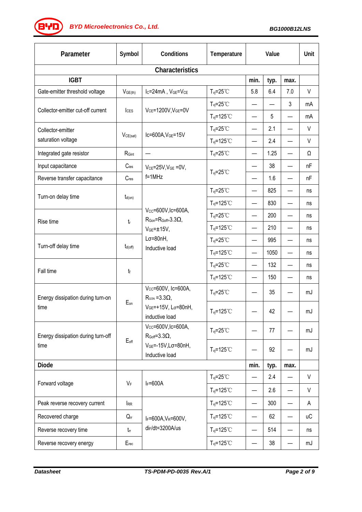**(BYD)** BYD Microelectronics Co., Ltd. BG1000B12LNS

| Parameter                                  | Symbol           | Conditions                                                                                                                       | Temperature                          | Value                    |      | Unit |           |  |  |
|--------------------------------------------|------------------|----------------------------------------------------------------------------------------------------------------------------------|--------------------------------------|--------------------------|------|------|-----------|--|--|
| Characteristics                            |                  |                                                                                                                                  |                                      |                          |      |      |           |  |  |
| <b>IGBT</b>                                |                  |                                                                                                                                  |                                      | min.                     | typ. | max. |           |  |  |
| Gate-emitter threshold voltage             | $V_{GE(th)}$     | I <sub>C</sub> =24mA, V <sub>GE</sub> =V <sub>CE</sub>                                                                           | $T_{vi} = 25^{\circ}$ C              | 5.8                      | 6.4  | 7.0  | V         |  |  |
|                                            | ICES             | VCE=1200V, VGE=0V                                                                                                                | $T_{\text{vj}}=25^{\circ}C$          |                          |      | 3    | mA        |  |  |
| Collector-emitter cut-off current          |                  |                                                                                                                                  | $T_{vi} = 125$ °C                    |                          | 5    |      | mA        |  |  |
| Collector-emitter                          |                  | $lc=600A, VGE=15V$                                                                                                               | $T_{vj} = 25^{\circ}$ C              |                          | 2.1  |      | $\vee$    |  |  |
| saturation voltage                         | $V_{CE(sat)}$    |                                                                                                                                  | $T_{vj} = 125°C$                     | $\overline{\phantom{0}}$ | 2.4  |      | V         |  |  |
| Integrated gate resistor                   | RGint            |                                                                                                                                  | $T_{\text{vj}}=25^{\circ}C$          |                          | 1.25 |      | Ω         |  |  |
| Input capacitance                          | $C$ ies          | $V_{CE}$ =25V, $V_{GE}$ =0V,<br>$f=1$ MHz                                                                                        |                                      | $\overline{\phantom{0}}$ | 38   |      | nF        |  |  |
| Reverse transfer capacitance               | $C_{res}$        |                                                                                                                                  | $T_{vj} = 25^{\circ}$ C              |                          | 1.6  |      | nF        |  |  |
| Turn-on delay time                         |                  |                                                                                                                                  | $T_{\text{vj}}=25^{\circ}C$          |                          | 825  |      | ns        |  |  |
|                                            | $t_{d(on)}$      |                                                                                                                                  | $T_{\text{vj}}$ =125°C               | $\overline{\phantom{0}}$ | 830  |      | ns        |  |  |
| Rise time                                  | t                | Vcc=600V, Ic=600A,<br>$R_{\text{Gon}} = R_{\text{Goff}} = 3.3 \Omega$ ,<br>$VGE = ±15V,$<br>$L\sigma = 80nH$ ,<br>Inductive load | $T_{vj} = 25^{\circ}$ C              | $\overline{\phantom{0}}$ | 200  |      | ns        |  |  |
|                                            |                  |                                                                                                                                  | $T_{vi} = 125$ °C                    | —                        | 210  |      | ns        |  |  |
| Turn-off delay time                        | $t_{d(off)}$     |                                                                                                                                  | $T_{vi} = 25^{\circ}$ C              | —                        | 995  |      | ns        |  |  |
|                                            |                  |                                                                                                                                  | $T_{vj} = 125°C$                     | —                        | 1050 |      | ns        |  |  |
|                                            | $t_{\rm f}$      |                                                                                                                                  | $T_{vi} = 25^{\circ}$ C              | $\overline{\phantom{0}}$ | 132  |      | ns        |  |  |
| Fall time                                  |                  |                                                                                                                                  | $T_{\text{vj}}$ =125°C               | $\overline{\phantom{0}}$ | 150  |      | ns        |  |  |
| Energy dissipation during turn-on<br>time  | Eon              | Vcc=600V, Ic=600A,<br>$R_{\text{GON}} = 3.3 \Omega$<br>VGE=+15V, Lσ=80nH,<br>inductive load                                      | $T_{\text{vj}}=25^{\circ}C$          |                          | 35   |      | mJ        |  |  |
|                                            |                  |                                                                                                                                  | $T_{vi} = 125$ °C                    |                          | 42   |      | mJ        |  |  |
| Energy dissipation during turn-off<br>time | $E_{\text{off}}$ | Vcc=600V, Ic=600A,<br>$R_{Goff}=3.3\Omega$ ,                                                                                     | $T_{vj} = 25^{\circ}$ C              |                          | 77   |      | mJ        |  |  |
|                                            |                  | $VGE=-15V$ , L $\sigma=80nH$ ,<br>Inductive load                                                                                 | $T_{vi} = 125$ °C                    |                          | 92   |      | mJ        |  |  |
| <b>Diode</b>                               |                  |                                                                                                                                  |                                      | min.                     | typ. | max. |           |  |  |
| Forward voltage                            | VF               | $I_F = 600A$                                                                                                                     | $T_{vi} = 25^{\circ}$ C              |                          | 2.4  |      | V         |  |  |
|                                            |                  |                                                                                                                                  | $T_{vi} = 125$ °C                    | —                        | 2.6  |      | V         |  |  |
| Peak reverse recovery current              | <b>IRR</b>       | $I_F = 600A, V_R = 600V,$<br>di <sub>F</sub> /dt=3200A/us                                                                        | $T_{vi} = 125^{\circ}$ C             | $\overline{\phantom{0}}$ | 300  |      | A         |  |  |
| Recovered charge                           | $Q_{\text{rr}}$  |                                                                                                                                  | $T_{\text{vj}}$ =125 $\textdegree$ C | $\overline{\phantom{0}}$ | 62   |      | <b>uC</b> |  |  |
| Reverse recovery time                      | $t_{rr}$         |                                                                                                                                  | $T_{\text{vi}}$ =125°C               |                          | 514  |      | ns        |  |  |
| Reverse recovery energy                    | $E_{rec}$        |                                                                                                                                  | $T_{vi} = 125$ °C                    | —                        | 38   |      | mJ        |  |  |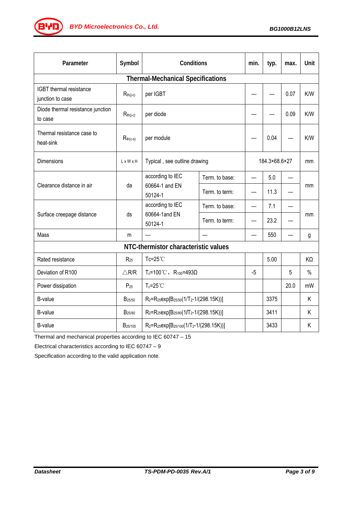

| Parameter                                    | Symbol                | Conditions                                                                               |                | min.                     | typ. | max.                     | Unit          |  |  |
|----------------------------------------------|-----------------------|------------------------------------------------------------------------------------------|----------------|--------------------------|------|--------------------------|---------------|--|--|
| <b>Thermal-Mechanical Specifications</b>     |                       |                                                                                          |                |                          |      |                          |               |  |  |
| IGBT thermal resistance<br>junction to case  | $R_{th(j-c)}$         | per IGBT                                                                                 |                |                          |      | 0.07                     | K/W           |  |  |
| Diode thermal resistance junction<br>to case | $R_{th(j-c)}$         | per diode                                                                                |                |                          |      | 0.09                     | K/W           |  |  |
| Thermal resistance case to<br>heat-sink      | $R_{th(c-s)}$         | per module                                                                               |                |                          | 0.04 |                          | K/W           |  |  |
| Dimensions                                   | $L \times W \times H$ | Typical, see outline drawing                                                             |                | 184.3×68.6×27            |      | mm                       |               |  |  |
| Clearance distance in air                    | da                    | according to IEC<br>60664-1 and EN<br>50124-1                                            | Term. to base: | $\overline{\phantom{0}}$ | 5.0  | $\overline{\phantom{0}}$ | mm            |  |  |
|                                              |                       |                                                                                          | Term. to term: |                          | 11.3 |                          |               |  |  |
| Surface creepage distance                    | ds                    | according to IEC<br>60664-1and EN<br>50124-1                                             | Term. to base: |                          | 7.1  |                          |               |  |  |
|                                              |                       |                                                                                          | Term. to term: |                          | 23.2 |                          | mm            |  |  |
| Mass                                         | m                     |                                                                                          |                |                          | 550  |                          | g             |  |  |
| NTC-thermistor characteristic values         |                       |                                                                                          |                |                          |      |                          |               |  |  |
| Rated resistance                             | $R_{25}$              | Tc=25°C                                                                                  |                |                          | 5.00 |                          | KΩ            |  |  |
| Deviation of R100                            | $\triangle$ R/R       | $T_c = 100 °C$ , R <sub>100</sub> =493Ω                                                  |                | $-5$                     |      | 5                        | $\frac{0}{0}$ |  |  |
| Power dissipation                            | $P_{25}$              | $T_c = 25^{\circ}$ C                                                                     |                |                          |      | 20.0                     | mW            |  |  |
| B-value                                      | B <sub>25/50</sub>    | R <sub>2</sub> =R <sub>25</sub> exp[B <sub>25/50</sub> (1/T <sub>2</sub> -1/(298.15K))]  |                |                          | 3375 |                          | Κ             |  |  |
| <b>B-value</b>                               | B <sub>25/80</sub>    | R <sub>2</sub> =R <sub>25</sub> exp[B <sub>25/80</sub> (1/T <sub>2</sub> -1/(298.15K))]  |                |                          | 3411 |                          | Κ             |  |  |
| <b>B-value</b>                               | B <sub>25/100</sub>   | R <sub>2</sub> =R <sub>25</sub> exp[B <sub>25/100</sub> (1/T <sub>2</sub> -1/(298.15K))] |                |                          | 3433 |                          | Κ             |  |  |

Thermal and mechanical properties according to IEC 60747 – 15

Electrical characteristics according to IEC 60747 – 9

Specification according to the valid application note.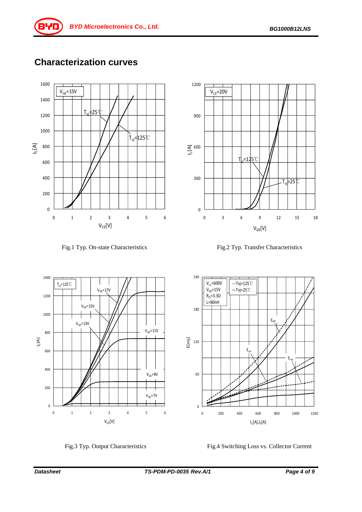

# **Characterization curves**













Fig.3 Typ. Output Characteristics Fig.4 Switching Loss vs. Collector Current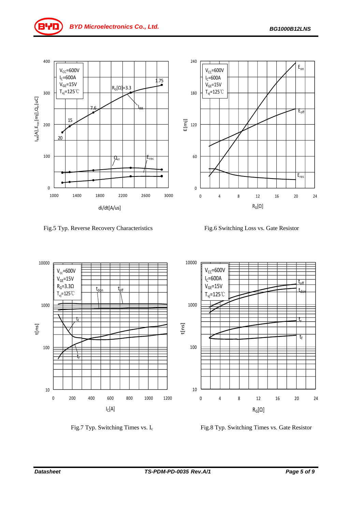







Fig.7 Typ. Switching Times vs. I<sub>c</sub> Fig.8 Typ. Switching Times vs. Gate Resistor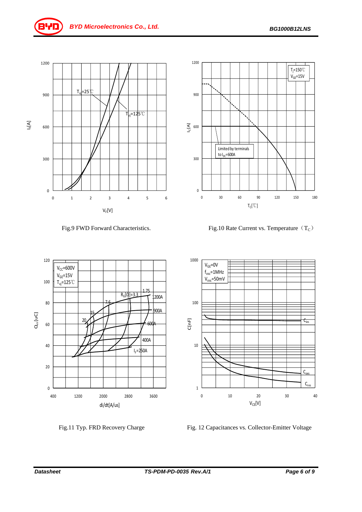



7.6

15 20

 $R_G[\Omega]=3.3$ 

1.75

 $I_F = 250A$ 

400A

600A

900A

1200A



Fig.9 FWD Forward Characteristics. Fig.10 Rate Current vs. Temperature  $(T_C)$ 





400 1200 2000 2800 3600

di/dt[A/us]

Fig.11 Typ. FRD Recovery Charge Fig. 12 Capacitances vs. Collector-Emitter Voltage

0

20

40

60

Qrr[uC]

80

100

120

 $V_{CC}$ =600V  $V_{GE}$ =15V  $T_{vi}$ =125℃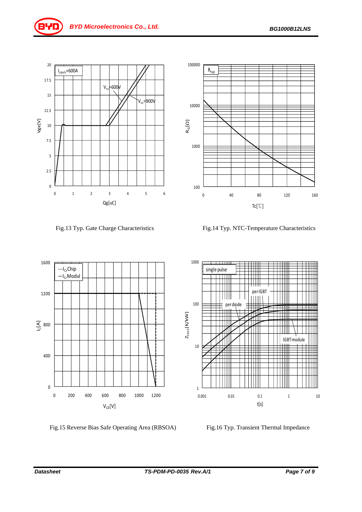



Fig.13 Typ. Gate Charge Characteristics Fig.14 Typ. NTC-Temperature Characteristics

0 40 80 120 160

Tc[℃]

100

1000

1000

10000

 $R_G[Ω]$ 

100000

 $R_{\text{typ}}$ 



Fig.15 Reverse Bias Safe Operating Area (RBSOA) Fig.16 Typ. Transient Thermal Impedance

single pulse  $\perp \perp \perp \perp$ Ш perIGBT ШШ  $||||||$ 100 perdiode  $Z_{\rm th1c}$ [K/kW]  $Z_{\text{thic}}$ [K/kW] ╤╤╫ IGBTmodule10 ╫╫ ┽┿╫╫ ┯╈ Ш Ш Ⅲ 1  $0.001$   $0.01$   $0.1$   $1$   $10$ t[s]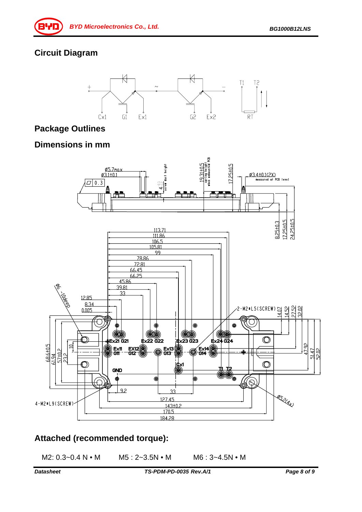### **Circuit Diagram**



#### **Package Outlines**

#### **Dimensions in mm**



## **Attached (recommended torque):**

M2: 0.3~0.4 N • M M5: 2~3.5N • M M6: 3~4.5N • M